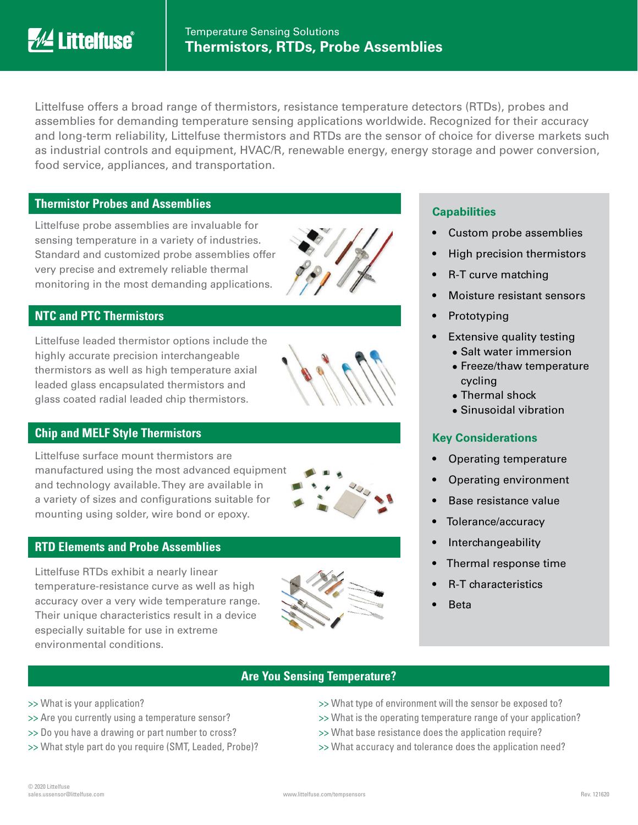

Littelfuse offers a broad range of thermistors, resistance temperature detectors (RTDs), probes and assemblies for demanding temperature sensing applications worldwide. Recognized for their accuracy and long-term reliability, Littelfuse thermistors and RTDs are the sensor of choice for diverse markets such as industrial controls and equipment, HVAC/R, renewable energy, energy storage and power conversion, food service, appliances, and transportation.

#### **Thermistor Probes and Assemblies**

Littelfuse probe assemblies are invaluable for sensing temperature in a variety of industries. Standard and customized probe assemblies offer very precise and extremely reliable thermal monitoring in the most demanding applications.



# **NTC and PTC Thermistors**

Littelfuse leaded thermistor options include the highly accurate precision interchangeable thermistors as well as high temperature axial leaded glass encapsulated thermistors and glass coated radial leaded chip thermistors.



## **Chip and MELF Style Thermistors**

Littelfuse surface mount thermistors are manufactured using the most advanced equipment and technology available. They are available in a variety of sizes and configurations suitable for mounting using solder, wire bond or epoxy.



Littelfuse RTDs exhibit a nearly linear temperature-resistance curve as well as high accuracy over a very wide temperature range. Their unique characteristics result in a device especially suitable for use in extreme environmental conditions.



#### **Capabilities**

- Custom probe assemblies
- High precision thermistors
- R-T curve matching
- Moisture resistant sensors
- **Prototyping**
- **Extensive quality testing** 
	- Salt water immersion
	- Freeze/thaw temperature cycling
	- Thermal shock
	- Sinusoidal vibration

# **Key Considerations**

- Operating temperature
- Operating environment
- Base resistance value
- Tolerance/accuracy
- **Interchangeability**
- Thermal response time
- R-T characteristics
- Beta

## **Are You Sensing Temperature?**

- >> What is your application?
- >> Are you currently using a temperature sensor?
- >> Do you have a drawing or part number to cross?
- >> What style part do you require (SMT, Leaded, Probe)?
- >> What type of environment will the sensor be exposed to?
- >> What is the operating temperature range of your application?
- >> What base resistance does the application require?
- >> What accuracy and tolerance does the application need?